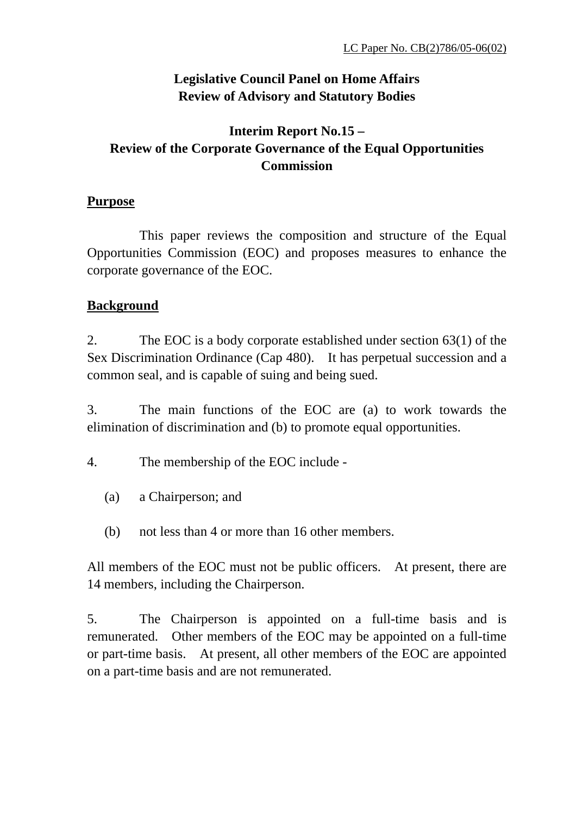## **Legislative Council Panel on Home Affairs Review of Advisory and Statutory Bodies**

# **Interim Report No.15 – Review of the Corporate Governance of the Equal Opportunities Commission**

#### **Purpose**

 This paper reviews the composition and structure of the Equal Opportunities Commission (EOC) and proposes measures to enhance the corporate governance of the EOC.

### **Background**

2. The EOC is a body corporate established under section 63(1) of the Sex Discrimination Ordinance (Cap 480). It has perpetual succession and a common seal, and is capable of suing and being sued.

3. The main functions of the EOC are (a) to work towards the elimination of discrimination and (b) to promote equal opportunities.

4. The membership of the EOC include -

- (a) a Chairperson; and
- (b) not less than 4 or more than 16 other members.

All members of the EOC must not be public officers. At present, there are 14 members, including the Chairperson.

5. The Chairperson is appointed on a full-time basis and is remunerated. Other members of the EOC may be appointed on a full-time or part-time basis. At present, all other members of the EOC are appointed on a part-time basis and are not remunerated.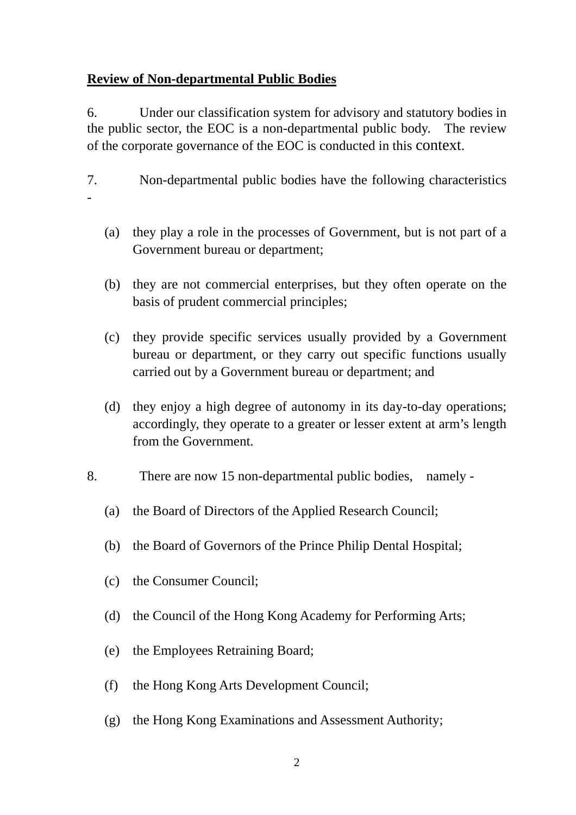#### **Review of Non-departmental Public Bodies**

6. Under our classification system for advisory and statutory bodies in the public sector, the EOC is a non-departmental public body. The review of the corporate governance of the EOC is conducted in this context.

- 7. Non-departmental public bodies have the following characteristics -
	- (a) they play a role in the processes of Government, but is not part of a Government bureau or department;
	- (b) they are not commercial enterprises, but they often operate on the basis of prudent commercial principles;
	- (c) they provide specific services usually provided by a Government bureau or department, or they carry out specific functions usually carried out by a Government bureau or department; and
	- (d) they enjoy a high degree of autonomy in its day-to-day operations; accordingly, they operate to a greater or lesser extent at arm's length from the Government.
- 8. There are now 15 non-departmental public bodies, namely
	- (a) the Board of Directors of the Applied Research Council;
	- (b) the Board of Governors of the Prince Philip Dental Hospital;
	- (c) the Consumer Council;
	- (d) the Council of the Hong Kong Academy for Performing Arts;
	- (e) the Employees Retraining Board;
	- (f) the Hong Kong Arts Development Council;
	- (g) the Hong Kong Examinations and Assessment Authority;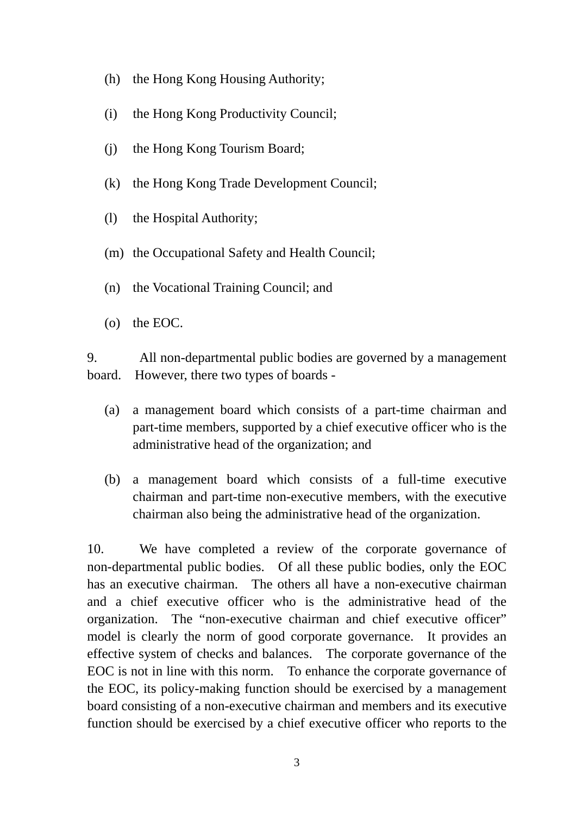- (h) the Hong Kong Housing Authority;
- (i) the Hong Kong Productivity Council;
- (j) the Hong Kong Tourism Board;
- (k) the Hong Kong Trade Development Council;
- (l) the Hospital Authority;
- (m) the Occupational Safety and Health Council;
- (n) the Vocational Training Council; and
- (o) the EOC.

9. All non-departmental public bodies are governed by a management board. However, there two types of boards -

- (a) a management board which consists of a part-time chairman and part-time members, supported by a chief executive officer who is the administrative head of the organization; and
- (b) a management board which consists of a full-time executive chairman and part-time non-executive members, with the executive chairman also being the administrative head of the organization.

10. We have completed a review of the corporate governance of non-departmental public bodies. Of all these public bodies, only the EOC has an executive chairman. The others all have a non-executive chairman and a chief executive officer who is the administrative head of the organization. The "non-executive chairman and chief executive officer" model is clearly the norm of good corporate governance. It provides an effective system of checks and balances. The corporate governance of the EOC is not in line with this norm. To enhance the corporate governance of the EOC, its policy-making function should be exercised by a management board consisting of a non-executive chairman and members and its executive function should be exercised by a chief executive officer who reports to the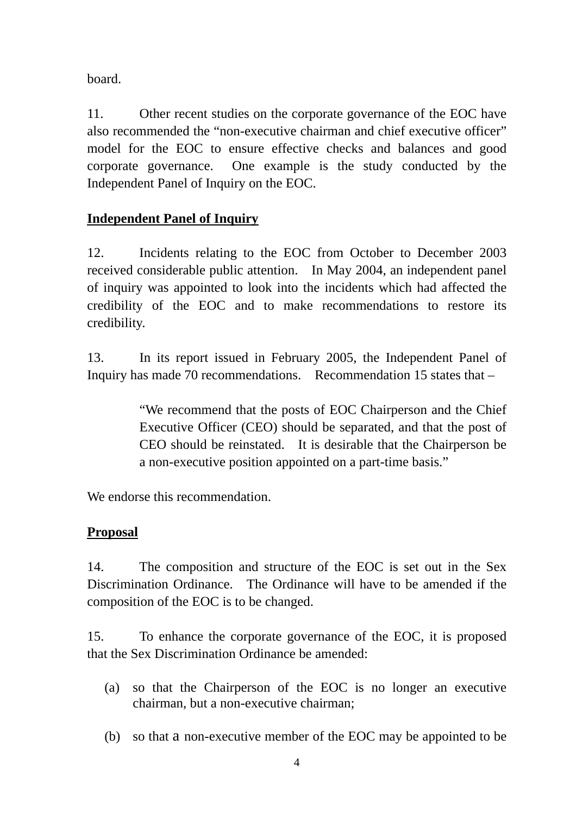board.

11. Other recent studies on the corporate governance of the EOC have also recommended the "non-executive chairman and chief executive officer" model for the EOC to ensure effective checks and balances and good corporate governance. One example is the study conducted by the Independent Panel of Inquiry on the EOC.

## **Independent Panel of Inquiry**

12. Incidents relating to the EOC from October to December 2003 received considerable public attention. In May 2004, an independent panel of inquiry was appointed to look into the incidents which had affected the credibility of the EOC and to make recommendations to restore its credibility.

13. In its report issued in February 2005, the Independent Panel of Inquiry has made 70 recommendations. Recommendation 15 states that –

> "We recommend that the posts of EOC Chairperson and the Chief Executive Officer (CEO) should be separated, and that the post of CEO should be reinstated. It is desirable that the Chairperson be a non-executive position appointed on a part-time basis."

We endorse this recommendation.

### **Proposal**

14. The composition and structure of the EOC is set out in the Sex Discrimination Ordinance. The Ordinance will have to be amended if the composition of the EOC is to be changed.

15. To enhance the corporate governance of the EOC, it is proposed that the Sex Discrimination Ordinance be amended:

- (a) so that the Chairperson of the EOC is no longer an executive chairman, but a non-executive chairman;
- (b) so that a non-executive member of the EOC may be appointed to be